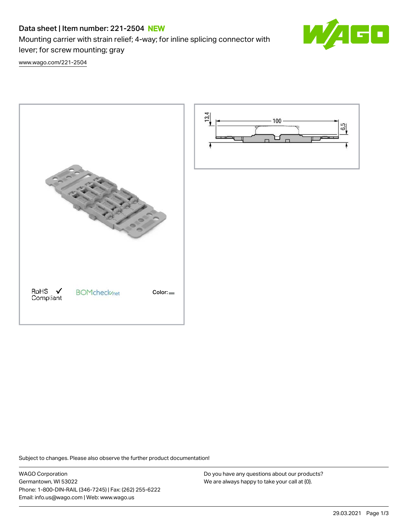# Data sheet | Item number: 221-2504 NEW

Mounting carrier with strain relief; 4-way; for inline splicing connector with lever; for screw mounting; gray



[www.wago.com/221-2504](http://www.wago.com/221-2504)





Subject to changes. Please also observe the further product documentation!

WAGO Corporation Germantown, WI 53022 Phone: 1-800-DIN-RAIL (346-7245) | Fax: (262) 255-6222 Email: info.us@wago.com | Web: www.wago.us

Do you have any questions about our products? We are always happy to take your call at {0}.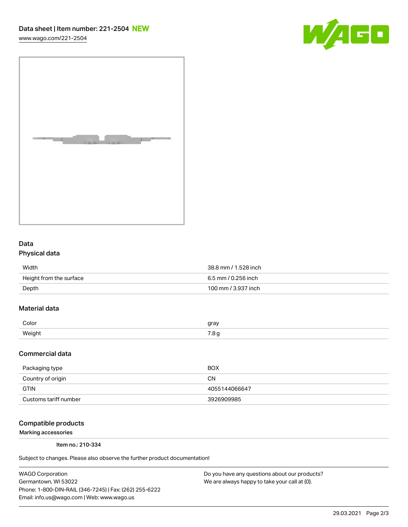[www.wago.com/221-2504](http://www.wago.com/221-2504)





## Data Physical data

| Width                   | 38.8 mm / 1.528 inch |
|-------------------------|----------------------|
| Height from the surface | 6.5 mm / 0.256 inch  |
| Depth                   | 100 mm / 3.937 inch  |

## Material data

| Color | arov             |
|-------|------------------|
| Weiał |                  |
| ່.    | $\cdot$ . $\sim$ |

#### Commercial data

| Packaging type        | <b>BOX</b>    |
|-----------------------|---------------|
| Country of origin     | CΝ            |
| <b>GTIN</b>           | 4055144066647 |
| Customs tariff number | 3926909985    |

### Compatible products

Marking accessories

Item no.: 210-334

Subject to changes. Please also observe the further product documentation!

WAGO Corporation Germantown, WI 53022 Phone: 1-800-DIN-RAIL (346-7245) | Fax: (262) 255-6222 Email: info.us@wago.com | Web: www.wago.us

Do you have any questions about our products? We are always happy to take your call at {0}.